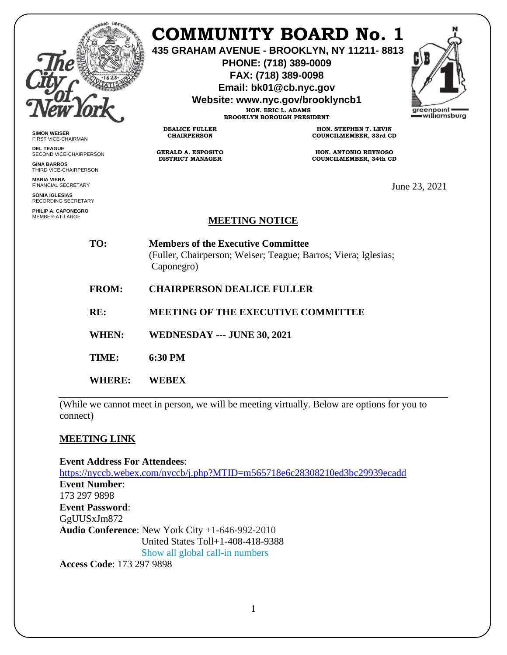

**SIMON WEISER** FIRST VICE-CHAIRMAN **DEL TEAGUE**

**GINA BARROS** THIRD VICE-CHAIRPERSON

**MARIA VIERA** FINANCIAL SECRETARY **SONIA IGLESIAS** RECORDING SECRETARY **PHILIP A. CAPONEGRO** MEMBER-AT-LARGE

SECOND VICE-CHAIRPERSON

## **COMMUNITY BOARD No. 1**

**435 GRAHAM AVENUE - BROOKLYN, NY 11211- 8813**

**PHONE: (718) 389-0009 FAX: (718) 389-0098**

**Email: bk01@cb.nyc.gov**

**Website: www.nyc.gov/brooklyncb1**

**HON. ERIC L. ADAMS BROOKLYN BOROUGH PRESIDENT**



**DEALICE FULLER CHAIRPERSON**

**GERALD A. ESPOSITO DISTRICT MANAGER**

**HON. STEPHEN T. LEVIN COUNCILMEMBER, 33rd CD**

**HON. ANTONIO REYNOSO COUNCILMEMBER, 34th CD**

June 23, 2021

## **MEETING NOTICE**

**TO: Members of the Executive Committee**  (Fuller, Chairperson; Weiser; Teague; Barros; Viera; Iglesias; Caponegro)

- **FROM: CHAIRPERSON DEALICE FULLER**
- **RE: MEETING OF THE EXECUTIVE COMMITTEE**
- **WHEN: WEDNESDAY --- JUNE 30, 2021**
- **TIME: 6:30 PM**
- **WHERE: WEBEX**

(While we cannot meet in person, we will be meeting virtually. Below are options for you to connect)

## **MEETING LINK**

**Event Address For Attendees**: <https://nyccb.webex.com/nyccb/j.php?MTID=m565718e6c28308210ed3bc29939ecadd> **Event Number**: 173 297 9898 **Event Password**: GgUUSxJm872 **Audio Conference**: New York City +1-646-992-2010 United States Toll+1-408-418-9388 Show all global call-in numbers

**Access Code**: 173 297 9898